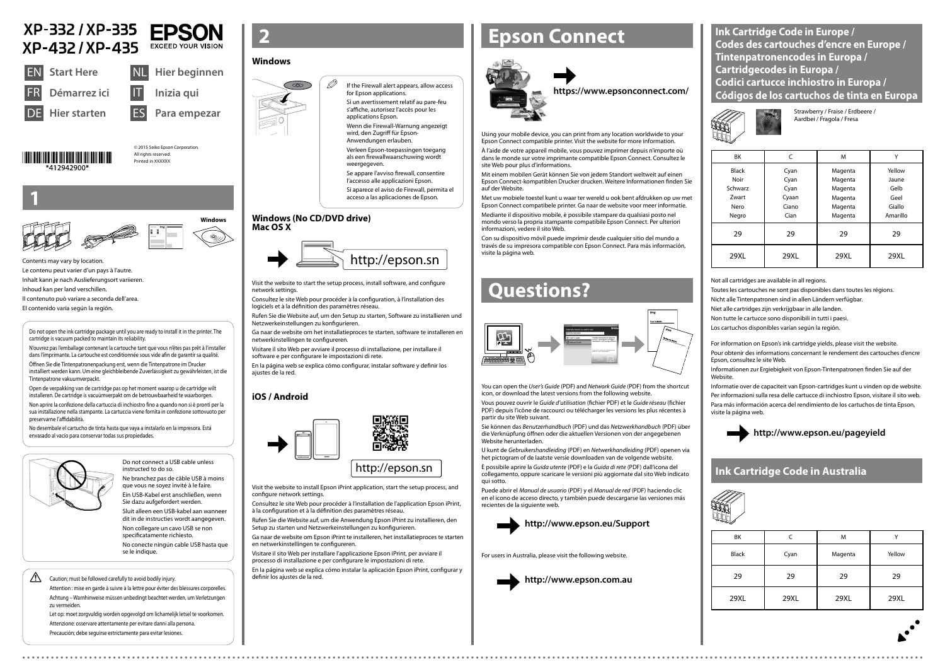© 2015 Seiko Epson Corporation. All rights reserved Printed in XXXXXX









XP-332 / XP-335

**Hier starten** 



Do not connect a USB cable unless instructed to do so. Ne branchez pas de câble USB à moins

que vous ne soyez invité à le faire. Ein USB-Kabel erst anschließen, wenn

Sie dazu aufgefordert werden. Sluit alleen een USB-kabel aan wanneer dit in de instructies wordt aangegeven. Non collegare un cavo USB se non specificatamente richiesto. No conecte ningún cable USB hasta que  $\mathscr{D}$  If the Firewall alert appears, allow access for Epson applications. Si un avertissement relatif au pare-feu

se le indique.

## $\bigwedge$  Caution; must be followed carefully to avoid bodily injury.

Verleen Epson-toepassingen toegang als een firewallwaarschuwing wordt weergegeven



ES **Para empezar**

**EPSON** 

**EXCEED YOUR VISION** 



**1**

Contents may vary by location. Le contenu peut varier d'un pays à l'autre. Inhalt kann je nach Auslieferungsort variieren. Inhoud kan per land verschillen. Il contenuto può variare a seconda dell'area. El contenido varía según la región.

s'affiche, autorisez l'accès pour les applications Epson.

Wenn die Firewall-Warnung angezeigt wird, den Zugriff für Epson-Anwendungen erlauben.

Se appare l'avviso firewall, consentire l'accesso alle applicazioni Epson. Si aparece el aviso de Firewall, permita el

acceso a las aplicaciones de Epson.

Visit the website to start the setup process, install software, and configure network settings.

Consultez le site Web pour procéder à la configuration, à l'installation des logiciels et à la définition des paramètres réseau.

Rufen Sie die Website auf, um den Setup zu starten, Software zu installieren und Netzwerkeinstellungen zu konfigurieren.

Ga naar de website om het installatieproces te starten, software te installeren en netwerkinstellingen te configureren.

Visitare il sito Web per avviare il processo di installazione, per installare il software e per configurare le impostazioni di rete.

En la página web se explica cómo configurar, instalar software y definir los ajustes de la red.

# **Epson Connect**



Using your mobile device, you can print from any location worldwide to your Epson Connect compatible printer. Visit the website for more information.

À l'aide de votre appareil mobile, vous pouvez imprimer depuis n'importe où dans le monde sur votre imprimante compatible Epson Connect. Consultez le site Web pour plus d'informations.

Mit einem mobilen Gerät können Sie von jedem Standort weltweit auf einen Epson Connect-kompatiblen Drucker drucken. Weitere Informationen finden Sie auf der Website.

Met uw mobiele toestel kunt u waar ter wereld u ook bent afdrukken op uw met Epson Connect compatibele printer. Ga naar de website voor meer informatie.

Mediante il dispositivo mobile, è possibile stampare da qualsiasi posto nel mondo verso la propria stampante compatibile Epson Connect. Per ulteriori informazioni, vedere il sito Web.

Con su dispositivo móvil puede imprimir desde cualquier sitio del mundo a través de su impresora compatible con Epson Connect. Para más información, visite la página web.

## **https://www.epsonconnect.com/**

## **Questions?**



You can open the *User's Guide* (PDF) and *Network Guide* (PDF) from the shortcut icon, or download the latest versions from the following website.

Vous pouvez ouvrir le *Guide d'utilisation* (fichier PDF) et le *Guide réseau* (fichier PDF) depuis l'icône de raccourci ou télécharger les versions les plus récentes à partir du site Web suivant.

Sie können das *Benutzerhandbuch* (PDF) und das *Netzwerkhandbuch* (PDF) über die Verknüpfung öffnen oder die aktuellen Versionen von der angegebenen Website herunterladen.

U kunt de *Gebruikershandleiding* (PDF) en *Netwerkhandleiding* (PDF) openen via het pictogram of de laatste versie downloaden van de volgende website.

È possibile aprire la *Guida utente* (PDF) e la *Guida di rete* (PDF) dall'icona del collegamento, oppure scaricare le versioni più aggiornate dal sito Web indicato qui sotto.

Puede abrir el *Manual de usuario* (PDF) y el *Manual de red* (PDF) haciendo clic en el icono de acceso directo, y también puede descargarse las versiones más recientes de la siguiente web.



| BK                   | C            | м                  | v               |
|----------------------|--------------|--------------------|-----------------|
| <b>Black</b><br>Noir | Cyan<br>Cyan | Magenta<br>Magenta | Yellow<br>Jaune |
| Schwarz              | Cyan         | Magenta            | Gelb            |
| Zwart                | Cyaan        | Magenta            | Geel            |
| Nero                 | Ciano        | Magenta            | Giallo          |
| Negro                | Cian         | Magenta            | Amarillo        |
| 29                   | 29           | 29                 | 29              |
| 29XL                 | 29XL         | 29XL               | 29XL            |

Strawberry / Fraise / Erdbeere / Aardbei / Fragola / Fresa

## **http://www.epson.eu/pageyield**

**Ink Cartridge Code in Europe / Codes des cartouches d'encre en Europe / Tintenpatronencodes in Europa / Cartridgecodes in Europa / Codici cartucce inchiostro in Europa / Códigos de los cartuchos de tinta en Europa**





Do not open the ink cartridge package until you are ready to install it in the printer. The cartridge is vacuum packed to maintain its reliability.

N'ouvrez pas l'emballage contenant la cartouche tant que vous n'êtes pas prêt à l'installer dans l'imprimante. La cartouche est conditionnée sous vide afin de garantir sa qualité.

Öffnen Sie die Tintenpatronenpackung erst, wenn die Tintenpatrone im Drucker installiert werden kann. Um eine gleichbleibende Zuverlässigkeit zu gewährleisten, ist die Tintenpatrone vakuumverpackt.

Open de verpakking van de cartridge pas op het moment waarop u de cartridge wilt installeren. De cartridge is vacuümverpakt om de betrouwbaarheid te waarborgen.

Non aprire la confezione della cartuccia di inchiostro fino a quando non si è pronti per la sua installazione nella stampante. La cartuccia viene fornita in confezione sottovuoto per preservarne l'affidabilità.

No desembale el cartucho de tinta hasta que vaya a instalarlo en la impresora. Está envasado al vacío para conservar todas sus propiedades.



## **Windows**



- Toutes les cartouches ne sont pas disponibles dans toutes les régions.
- Nicht alle Tintenpatronen sind in allen Ländern verfügbar.
- Niet alle cartridges zijn verkrijgbaar in alle landen.
- Non tutte le cartucce sono disponibili in tutti i paesi.
- Los cartuchos disponibles varían según la región.
- For information on Epson's ink cartridge yields, please visit the website.
- Pour obtenir des informations concernant le rendement des cartouches d'encre Epson, consultez le site Web.
- Informationen zur Ergiebigkeit von Epson-Tintenpatronen finden Sie auf der Website.
- Informatie over de capaciteit van Epson-cartridges kunt u vinden op de website. Per informazioni sulla resa delle cartucce di inchiostro Epson, visitare il sito web. Para más información acerca del rendimiento de los cartuchos de tinta Epson, visite la página web.

#### **Windows (No CD/DVD drive) Mac OS X**

## **iOS / Android**

Visit the website to install Epson iPrint application, start the setup process, and configure network settings.

Consultez le site Web pour procéder à l'installation de l'application Epson iPrint, à la configuration et à la définition des paramètres réseau.

Rufen Sie die Website auf, um die Anwendung Epson iPrint zu installieren, den Setup zu starten und Netzwerkeinstellungen zu konfigurieren.

Ga naar de website om Epson iPrint te installeren, het installatieproces te starten en netwerkinstellingen te configureren.

Visitare il sito Web per installare l'applicazione Epson iPrint, per avviare il processo di installazione e per configurare le impostazioni di rete.

En la página web se explica cómo instalar la aplicación Epson iPrint, configurar y

Attention : mise en garde à suivre à la lettre pour éviter des blessures corporelles. Achtung – Warnhinweise müssen unbedingt beachtet werden, um Verletzungen zu vermeiden.

Let op: moet zorgvuldig worden opgevolgd om lichamelijk letsel te voorkomen. Attenzione: osservare attentamente per evitare danni alla persona. Precaución; debe seguirse estrictamente para evitar lesiones.

Not all cartridges are available in all regions.

For users in Australia, please visit the following website.



| BK           |      | M       |        |
|--------------|------|---------|--------|
| <b>Black</b> | Cyan | Magenta | Yellow |
| 29           | 29   | 29      | 29     |
| 29XL         | 29XL | 29XL    | 29XL   |

## **Ink Cartridge Code in Australia**

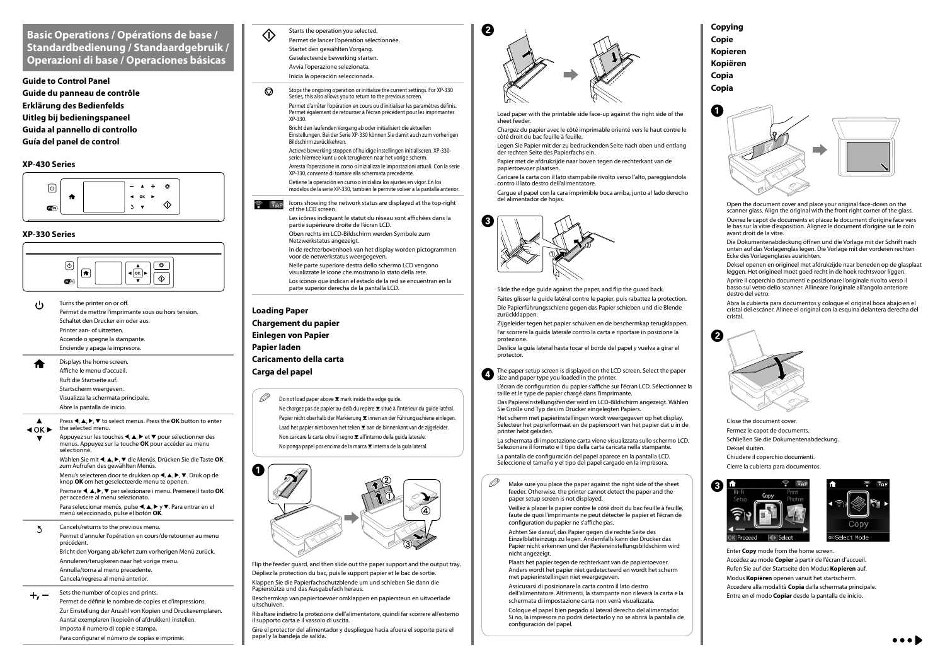### **XP-430 Series**



#### **XP-330 Series**

## **Basic Operations / Opérations de base / Standardbedienung / Standaardgebruik / Operazioni di base / Operaciones básicas**

**Guide to Control Panel Guide du panneau de contrôle Erklärung des Bedienfelds Uitleg bij bedieningspaneel Guida al pannello di controllo Guía del panel de control**



Menu's selecteren door te drukken op **4, A, D, V**. Druk op de knop **OK** om het geselecteerde menu te openen.

Premere **4, A, ▶, ▼** per selezionare i menu. Premere il tasto **OK** per accedere al menu selezionato.

Para seleccionar menús, pulse  $\blacktriangle, \blacktriangle, \blacktriangleright$  y  $\nabla$ . Para entrar en el menú seleccionado, pulse el botón **OK**.

- Permet de mettre l'imprimante sous ou hors tension. Schaltet den Drucker ein oder aus. Printer aan- of uitzetten. Accende o spegne la stampante. Enciende y apaga la impresora.
- Displays the home screen. Affiche le menu d'accueil. Ruft die Startseite auf. Startscherm weergeven. Visualizza la schermata principale. Abre la pantalla de inicio.
- Press  $\blacktriangle, \blacktriangle, \blacktriangleright$ ,  $\blacktriangledown$  to select menus. Press the **OK** button to enter the selected menu.
- $40K$ Appuyez sur les touches l, u, r et d pour sélectionner des menus. Appuyez sur la touche **OK** pour accéder au menu sélectionné. Wählen Sie mit  $\blacktriangle, \blacktriangle, \blacktriangleright, \blacktriangledown$  die Menüs. Drücken Sie die Taste OK zum Aufrufen des gewählten Menüs.

Cancels/returns to the previous menu.  $\sum$ Permet d'annuler l'opération en cours/de retourner au menu précédent. Bricht den Vorgang ab/kehrt zum vorherigen Menü zurück. Annuleren/terugkeren naar het vorige menu. Annulla/torna al menu precedente. Cancela/regresa al menú anterior.

 $+$ <sub>*r*</sub>  $-$  Sets the number of copies and prints.

Permet de définir le nombre de copies et d'impressions. Zur Einstellung der Anzahl von Kopien und Druckexemplaren. Aantal exemplaren (kopieën of afdrukken) instellen. Imposta il numero di copie e stampa. Para configurar el número de copias e imprimir.

**Loading Paper Chargement du papier Einlegen von Papier Papier laden Caricamento della carta Carga del papel**

 $\mathscr{D}$  Do not load paper above  $\mathbf x$  mark inside the edge guide. Ne chargez pas de papier au-delà du repère  $\Sigma$  situé à l'intérieur du guide latéral. Papier nicht oberhalb der Markierung  $\Sigma$  innen an der Führungsschiene einlegen. Laad het papier niet boven het teken  $\Sigma$  aan de binnenkant van de zijgeleider. Non caricare la carta oltre il segno **▼** all'interno della guida laterale. No ponga papel por encima de la marca  $\Sigma$  interna de la guía lateral.



Flip the feeder guard, and then slide out the paper support and the output tray.

Dépliez la protection du bac, puis le support papier et le bac de sortie. Klappen Sie die Papierfachschutzblende um und schieben Sie dann die Papierstütze und das Ausgabefach heraus.

Beschermkap van papiertoevoer omklappen en papiersteun en uitvoerlade uitschuiven.

Ribaltare indietro la protezione dell'alimentatore, quindi far scorrere all'esterno il supporto carta e il vassoio di uscita.

Gire el protector del alimentador y despliegue hacia afuera el soporte para el papel y la bandeja de salida.



B 



Load paper with the printable side face-up against the right side of the sheet feeder.

Chargez du papier avec le côté imprimable orienté vers le haut contre le côté droit du bac feuille à feuille.

Legen Sie Papier mit der zu bedruckenden Seite nach oben und entlang der rechten Seite des Papierfachs ein.

Papier met de afdrukzijde naar boven tegen de rechterkant van de papiertoevoer plaatsen.

Caricare la carta con il lato stampabile rivolto verso l'alto, pareggiandola contro il lato destro dell'alimentatore.

Cargue el papel con la cara imprimible boca arriba, junto al lado derecho del alimentador de hojas.



Slide the edge guide against the paper, and flip the guard back. Faites glisser le guide latéral contre le papier, puis rabattez la protection. Die Papierführungsschiene gegen das Papier schieben und die Blende zurückklappen.

Zijgeleider tegen het papier schuiven en de beschermkap terugklappen. Far scorrere la guida laterale contro la carta e riportare in posizione la protezione.

Deslice la guía lateral hasta tocar el borde del papel y vuelva a girar el protector.

The paper setup screen is displayed on the LCD screen. Select the paper size and paper type you loaded in the printer.

 $\mathscr{D}$  Make sure you place the paper against the right side of the sheet feeder. Otherwise, the printer cannot detect the paper and the paper setup screen is not displayed.

L'écran de configuration du papier s'affiche sur l'écran LCD. Sélectionnez la taille et le type de papier chargé dans l'imprimante.

Das Papiereinstellungsfenster wird im LCD-Bildschirm angezeigt. Wählen Sie Größe und Typ des im Drucker eingelegten Papiers.

Het scherm met papierinstellingen wordt weergegeven op het display. Selecteer het papierformaat en de papiersoort van het papier dat u in de printer hebt geladen.

La schermata di impostazione carta viene visualizzata sullo schermo LCD. Selezionare il formato e il tipo della carta caricata nella stampante. La pantalla de configuración del papel aparece en la pantalla LCD.

Seleccione el tamaño y el tipo del papel cargado en la impresora.

**Copying Copie Kopieren Kopiëren Copia Copia**





Close the document cover. Fermez le capot de documents. Schließen Sie die Dokumentenabdeckung. Deksel sluiten. Chiudere il coperchio documenti. Cierre la cubierta para documentos.



G



Enter **Copy** mode from the home screen. Accédez au mode **Copier** à partir de l'écran d'accueil. Rufen Sie auf der Startseite den Modus **Kopieren** auf. Modus **Kopiëren** openen vanuit het startscherm. Accedere alla modalità **Copia** dalla schermata principale. Entre en el modo **Copiar** desde la pantalla de inicio.

Starts the operation you selected. Permet de lancer l'opération sélectionnée. Startet den gewählten Vorgang. Geselecteerde bewerking starten. Avvia l'operazione selezionata. Inicia la operación seleccionada.

 $\langle \cdot \rangle$ 

- Stops the ongoing operation or initialize the current settings. For XP-330 ❺ Series, this also allows you to return to the previous screen
- Permet d'arrêter l'opération en cours ou d'initialiser les paramètres définis. Permet également de retourner à l'écran précédent pour les imprimantes XP-330.

Bricht den laufenden Vorgang ab oder initialisiert die aktuellen Einstellungen. Bei der Serie XP-330 können Sie damit auch zum vorherigen Bildschirm zurückkehren.

Actieve bewerking stoppen of huidige instellingen initialiseren. XP-330 serie: hiermee kunt u ook terugkeren naar het vorige scherm.

Arresta l'operazione in corso o inizializza le impostazioni attuali. Con la serie XP-330, consente di tornare alla schermata precedente.

Detiene la operación en curso o inicializa los ajustes en vigor. En los modelos de la serie XP-330, también le permite volver a la pantalla anterior.

Icons showing the network status are displayed at the top-right  $\widehat{\mathcal{F}}$   $\widehat{\mathcal{F}}$ AP of the LCD screen.

> Les icônes indiquant le statut du réseau sont affichées dans la partie supérieure droite de l'écran LCD.

Oben rechts im LCD-Bildschirm werden Symbole zum Netzwerkstatus angezeigt.

In de rechterbovenhoek van het display worden pictogrammen voor de netwerkstatus weergegeven.

Nelle parte superiore destra dello schermo LCD vengono

visualizzate le icone che mostrano lo stato della rete. Los iconos que indican el estado de la red se encuentran en la

parte superior derecha de la pantalla LCD.

Veillez à placer le papier contre le côté droit du bac feuille à feuille, faute de quoi l'imprimante ne peut détecter le papier et l'écran de configuration du papier ne s'affiche pas.

Achten Sie darauf, das Papier gegen die rechte Seite des Einzelblatteinzugs zu legen. Andernfalls kann der Drucker das Papier nicht erkennen und der Papiereinstellungsbildschirm wird nicht angezeigt.

Plaats het papier tegen de rechterkant van de papiertoevoer. Anders wordt het papier niet gedetecteerd en wordt het scherm met papierinstellingen niet weergegeven.

Assicurarsi di posizionare la carta contro il lato destro dell'alimentatore. Altrimenti, la stampante non rileverà la carta e la schermata di impostazione carta non verrà visualizzata.

Coloque el papel bien pegado al lateral derecho del alimentador. Si no, la impresora no podrá detectarlo y no se abrirá la pantalla de configuración del papel.

Open the document cover and place your original face-down on the scanner glass. Align the original with the front right corner of the glass. Ouvrez le capot de documents et placez le document d'origine face vers le bas sur la vitre d'exposition. Alignez le document d'origine sur le coin avant droit de la vitre.

Die Dokumentenabdeckung öffnen und die Vorlage mit der Schrift nach unten auf das Vorlagenglas legen. Die Vorlage mit der vorderen rechten Ecke des Vorlagenglases ausrichten.

Deksel openen en origineel met afdrukzijde naar beneden op de glasplaat leggen. Het origineel moet goed recht in de hoek rechtsvoor liggen. Aprire il coperchio documenti e posizionare l'originale rivolto verso il basso sul vetro dello scanner. Allineare l'originale all'angolo anteriore destro del vetro.

Abra la cubierta para documentos y coloque el original boca abajo en el cristal del escáner. Alinee el original con la esquina delantera derecha del cristal.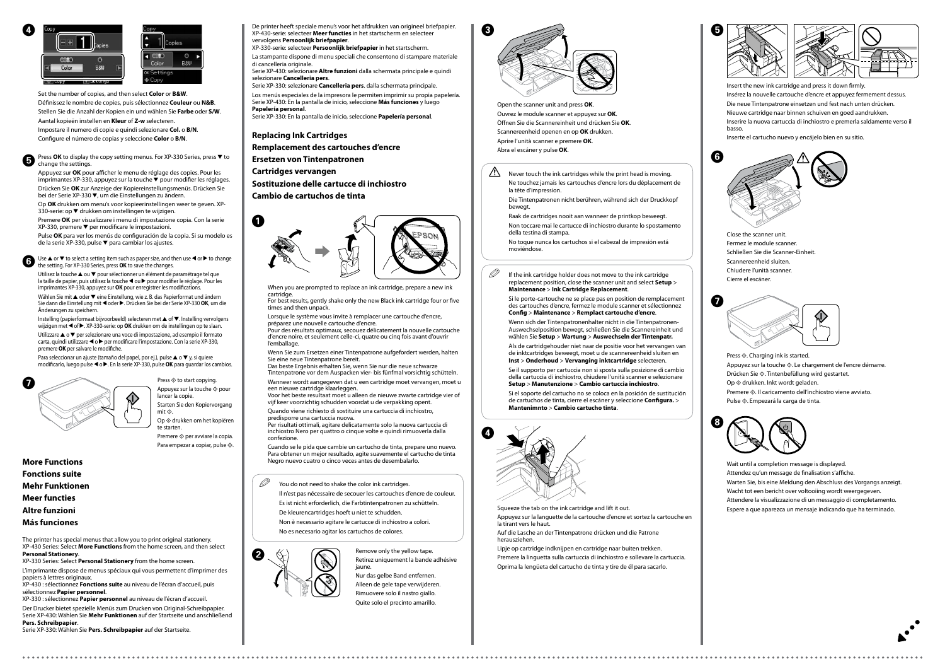**Replacing Ink Cartridges**

**Remplacement des cartouches d'encre**

**Ersetzen von Tintenpatronen**

**Cartridges vervangen**

**Sostituzione delle cartucce di inchiostro**

**Cambio de cartuchos de tinta**

When you are prompted to replace an ink cartridge, prepare a new ink cartridge.

For best results, gently shake only the new Black ink cartridge four or five times and then unpack.

Lorsque le système vous invite à remplacer une cartouche d'encre,

préparez une nouvelle cartouche d'encre. Pour des résultats optimaux, secouez délicatement la nouvelle cartouche d'encre noire, et seulement celle-ci, quatre ou cinq fois avant d'ouvrir

l'emballage.

Wenn Sie zum Ersetzen einer Tintenpatrone aufgefordert werden, halten Sie eine neue Tintenpatrone bereit.

Das beste Ergebnis erhalten Sie, wenn Sie nur die neue schwarze Tintenpatrone vor dem Auspacken vier- bis fünfmal vorsichtig schütteln.

Wanneer wordt aangegeven dat u een cartridge moet vervangen, moet u een nieuwe cartridge klaarleggen.

Voor het beste resultaat moet u alleen de nieuwe zwarte cartridge vier of vijf keer voorzichtig schudden voordat u de verpakking opent.

Quando viene richiesto di sostituire una cartuccia di inchiostro, predisporre una cartuccia nuova.

Per risultati ottimali, agitare delicatamente solo la nuova cartuccia di inchiostro Nero per quattro o cinque volte e quindi rimuoverla dalla confezione.

 $\mathscr{D}$  If the ink cartridge holder does not move to the ink cartridge replacement position, close the scanner unit and select **Setup** > **Maintenance** > **Ink Cartridge Replacement**.

Cuando se le pida que cambie un cartucho de tinta, prepare uno nuevo. Para obtener un mejor resultado, agite suavemente el cartucho de tinta Negro nuevo cuatro o cinco veces antes de desembalarlo.

 $\mathscr{D}$  You do not need to shake the color ink cartridges.

Wenn sich der Tintenpatronenhalter nicht in die Tintenpatronen-Auswechselposition bewegt, schließen Sie die Scannereinheit und wählen Sie **Setup** > **Wartung** > **Auswechseln der Tintenpatr.**

Open the scanner unit and press **OK**. Ouvrez le module scanner et appuyez sur **OK**. Öffnen Sie die Scannereinheit und drücken Sie **OK**. Scannereenheid openen en op **OK** drukken. Aprire l'unità scanner e premere **OK**. Abra el escáner y pulse **OK**.

Remove only the yellow tape. Retirez uniquement la bande adhésive jaune.

Nur das gelbe Band entfernen. Alleen de gele tape verwijderen. Rimuovere solo il nastro giallo. Quite solo el precinto amarillo.

Insert the new ink cartridge and press it down firmly. Insérez la nouvelle cartouche d'encre et appuyez fermement dessus. Die neue Tintenpatrone einsetzen und fest nach unten drücken. Nieuwe cartridge naar binnen schuiven en goed aandrukken. Inserire la nuova cartuccia di inchiostro e premerla saldamente verso il basso.

Inserte el cartucho nuevo y encájelo bien en su sitio.



**■** Press **OK** to display the copy setting menus. For XP-330 Series, press ▼ to change the settings.

Appuyez sur **OK** pour afficher le menu de réglage des copies. Pour les imprimantes XP-330, appuyez sur la touche  $\bar{\bm{v}}$  pour modifier les réglages. Drücken Sie **OK** zur Anzeige der Kopiereinstellungsmenüs. Drücken Sie bei der Serie XP-330  $\nabla$ , um die Einstellungen zu ändern.

Il n'est pas nécessaire de secouer les cartouches d'encre de couleur.

Es ist nicht erforderlich, die Farbtintenpatronen zu schütteln.

Op **OK** drukken om menu's voor kopieerinstellingen weer te geven. XP-330-serie: op ▼ drukken om instellingen te wijzigen.

De kleurencartridges hoeft u niet te schudden.

Premere **OK** per visualizzare i menu di impostazione copia. Con la serie  $XP-330$ , premere  $\nabla$  per modificare le impostazioni.

Non è necessario agitare le cartucce di inchiostro a colori.

Pulse **OK** para ver los menús de configuración de la copia. Si su modelo es de la serie XP-330, pulse  $\blacktriangledown$  para cambiar los ajustes.

No es necesario agitar los cartuchos de colores.

Use  $\triangle$  or  $\nabla$  to select a setting item such as paper size, and then use  $\triangleleft$  or  $\triangleright$  to change the setting. For XP-330 Series, press **OK** to save the changes.

Utilisez la touche ▲ ou ▼ pour sélectionner un élément de paramétrage tel que la taille de papier, puis utilisez la touche  $\triangleleft$  ou  $\triangleright$  pour modifier le réglage. Pour les imprimantes XP-330, appuyez sur **OK** pour enregistrer les modifications.

> Si le porte-cartouche ne se place pas en position de remplacement des cartouches d'encre, fermez le module scanner et sélectionnez **Config** > **Maintenance** > **Remplact cartouche d'encre**.

Wählen Sie mit ▲ oder ▼ eine Einstellung, wie z. B. das Papierformat und ändern Sie dann die Einstellung mit ◀ oder ▶. Drücken Sie bei der Serie XP-330 **OK**, um die Änderungen zu speichern.

Instelling (papierformaat bijvoorbeeld) selecteren met  $\triangle$  of  $\nabla$ . Instelling vervolgens wijzigen met < of > XP-330-serie: op OK drukken om de instellingen op te slaan.

Utilizzare  $\triangle$  o  $\nabla$  per selezionare una voce di impostazione, ad esempio il formato  $carta$ , quindi utilizzare  $\triangleleft o \triangleright$  per modificare l'impostazione. Con la serie XP-330, premere **OK** per salvare le modifiche.

Para seleccionar un ajuste (tamaño del papel, por ej.), pulse  $\blacktriangle$  o  $\nabla$  y, si quiere modificarlo, luego pulse < o >. En la serie XP-330, pulse **OK** para guardar los cambios.



Press  $\diamondsuit$  to start copying. Appuyez sur la touche  $\otimes$  pour lancer la copie. Starten Sie den Kopiervorgang mit  $\Diamond$ Op  $\otimes$  drukken om het kopiëren

te starten. Premere  $\otimes$  per avviare la copia.

Para empezar a copiar, pulse  $\otimes$ .

Als de cartridgehouder niet naar de positie voor het vervangen van de inktcartridges beweegt, moet u de scannereenheid sluiten en **Inst** > **Onderhoud** > **Vervanging inktcartridge** selecteren.

Se il supporto per cartuccia non si sposta sulla posizione di cambio della cartuccia di inchiostro, chiudere l'unità scanner e selezionare **Setup** > **Manutenzione** > **Cambio cartuccia inchiostro**.

Si el soporte del cartucho no se coloca en la posición de sustitución de cartuchos de tinta, cierre el escáner y seleccione **Configura.** > **Mantenimnto** > **Cambio cartucho tinta**.

Squeeze the tab on the ink cartridge and lift it out. Appuyez sur la languette de la cartouche d'encre et sortez la cartouche en la tirant vers le haut.

La stampante dispone di menu speciali che consentono di stampare materiale di cancelleria originale.

> Auf die Lasche an der Tintenpatrone drücken und die Patrone herausziehen.

Lipje op cartridge indknijpen en cartridge naar buiten trekken. Premere la linguetta sulla cartuccia di inchiostro e sollevare la cartuccia. Oprima la lengüeta del cartucho de tinta y tire de él para sacarlo.







 $\boldsymbol{\Theta}$ 





 $\bigwedge$  Never touch the ink cartridges while the print head is moving. Ne touchez jamais les cartouches d'encre lors du déplacement de la tête d'impression.

> Close the scanner unit. Fermez le module scanner. Schließen Sie die Scanner-Einheit. Scannereenheid sluiten. Chiudere l'unità scanner. Cierre el escáner.



Press  $\otimes$ . Charging ink is started. Appuyez sur la touche  $\otimes$ . Le chargement de l'encre démarre. Drücken Sie  $\otimes$ . Tintenbefüllung wird gestartet. Op  $\otimes$  drukken. Inkt wordt geladen. Premere  $\otimes$ . Il caricamento dell'inchiostro viene avviato. Pulse  $\otimes$ . Empezará la carga de tinta.



Set the number of copies, and then select **Color** or **B&W**. Définissez le nombre de copies, puis sélectionnez **Couleur** ou **N&B**. Stellen Sie die Anzahl der Kopien ein und wählen Sie **Farbe** oder **S/W**. Aantal kopieën instellen en **Kleur** of **Z-w** selecteren. Impostare il numero di copie e quindi selezionare **Col.** o **B/N**.

Configure el número de copias y seleccione **Color** o **B/N**.

**More Functions Fonctions suite Mehr Funktionen**

**Meer functies Altre funzioni**

**Más funciones**

The printer has special menus that allow you to print original stationery. XP-430 Series: Select **More Functions** from the home screen, and then select **Personal Stationery**.

XP-330 Series: Select **Personal Stationery** from the home screen.

L'imprimante dispose de menus spéciaux qui vous permettent d'imprimer des papiers à lettres originaux.

XP-430 : sélectionnez **Fonctions suite** au niveau de l'écran d'accueil, puis sélectionnez **Papier personnel**.

XP-330 : sélectionnez **Papier personnel** au niveau de l'écran d'accueil. Der Drucker bietet spezielle Menüs zum Drucken von Original-Schreibpapier.

Serie XP-430: Wählen Sie **Mehr Funktionen** auf der Startseite und anschließend **Pers. Schreibpapier**.

Serie XP-330: Wählen Sie **Pers. Schreibpapier** auf der Startseite.

De printer heeft speciale menu's voor het afdrukken van origineel briefpapier. XP-430-serie: selecteer **Meer functies** in het startscherm en selecteer vervolgens **Persoonlijk briefpapier**.

XP-330-serie: selecteer **Persoonlijk briefpapier** in het startscherm.

Serie XP-430: selezionare **Altre funzioni** dalla schermata principale e quindi selezionare **Cancelleria pers**.

Serie XP-330: selezionare **Cancelleria pers**. dalla schermata principale. Los menús especiales de la impresora le permiten imprimir su propia papelería. Serie XP-430: En la pantalla de inicio, seleccione **Más funciones** y luego **Papelería personal**.

Serie XP-330: En la pantalla de inicio, seleccione **Papelería personal**.

Die Tintenpatronen nicht berühren, während sich der Druckkopf bewegt.

Raak de cartridges nooit aan wanneer de printkop beweegt.

Non toccare mai le cartucce di inchiostro durante lo spostamento della testina di stampa.

No toque nunca los cartuchos si el cabezal de impresión está moviéndose.

G 





Wait until a completion message is displayed. Attendez qu'un message de finalisation s'affiche. Warten Sie, bis eine Meldung den Abschluss des Vorgangs anzeigt. Wacht tot een bericht over voltooiing wordt weergegeven. Attendere la visualizzazione di un messaggio di completamento. Espere a que aparezca un mensaje indicando que ha terminado.